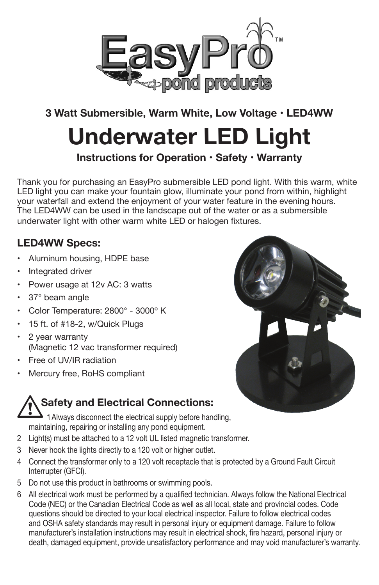

## **3 Watt Submersible, Warm White, Low Voltage • LED4WW**

# **Underwater LED Light**

**Instructions for Operation • Safety • Warranty**

Thank you for purchasing an EasyPro submersible LED pond light. With this warm, white LED light you can make your fountain glow, illuminate your pond from within, highlight your waterfall and extend the enjoyment of your water feature in the evening hours. The LED4WW can be used in the landscape out of the water or as a submersible underwater light with other warm white LED or halogen fixtures.

#### **LED4WW Specs:**

- •Aluminum housing, HDPE base
- •Integrated driver
- •Power usage at 12v AC: 3 watts
- •37° beam angle
- •Color Temperature: 2800° - 3000º K
- 15 ft. of #18-2, w/Quick Plugs
- • 2 year warranty (Magnetic 12 vac transformer required)
- •Free of UV/IR radiation
- •Mercury free, RoHS compliant

## **Safety and Electrical Connections:**

1Always disconnect the electrical supply before handling, maintaining, repairing or installing any pond equipment.

- 2 Light(s) must be attached to a 12 volt UL listed magnetic transformer.
- 3 Never hook the lights directly to a 120 volt or higher outlet.
- 4 Connect the transformer only to a 120 volt receptacle that is protected by a Ground Fault Circuit Interrupter (GFCI).
- 5 Do not use this product in bathrooms or swimming pools.
- 6 All electrical work must be performed by a qualified technician. Always follow the National Electrical Code (NEC) or the Canadian Electrical Code as well as all local, state and provincial codes. Code questions should be directed to your local electrical inspector. Failure to follow electrical codes and OSHA safety standards may result in personal injury or equipment damage. Failure to follow manufacturer's installation instructions may result in electrical shock, fire hazard, personal injury or death, damaged equipment, provide unsatisfactory performance and may void manufacturer's warranty.